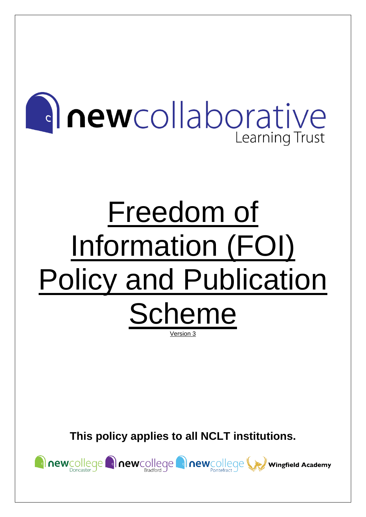

# Freedom of Information (FOI) Policy and Publication Scheme Version 3

**This policy applies to all NCLT institutions.**

newcollege newcollege newcollege newcollege wingfield Academy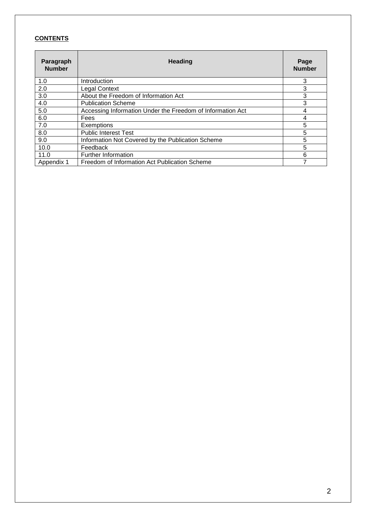#### **CONTENTS**

| Paragraph<br><b>Number</b> | <b>Heading</b>                                             | Page<br><b>Number</b> |
|----------------------------|------------------------------------------------------------|-----------------------|
| 1.0                        | Introduction                                               | 3                     |
| 2.0                        | <b>Legal Context</b>                                       | 3                     |
| 3.0                        | About the Freedom of Information Act                       | 3                     |
| 4.0                        | <b>Publication Scheme</b>                                  | 3                     |
| 5.0                        | Accessing Information Under the Freedom of Information Act | 4                     |
| 6.0                        | Fees                                                       |                       |
| 7.0                        | Exemptions                                                 | 5                     |
| 8.0                        | <b>Public Interest Test</b>                                | 5                     |
| 9.0                        | Information Not Covered by the Publication Scheme          | 5                     |
| 10.0                       | Feedback                                                   | 5                     |
| 11.0                       | <b>Further Information</b>                                 | 6                     |
| Appendix 1                 | Freedom of Information Act Publication Scheme              |                       |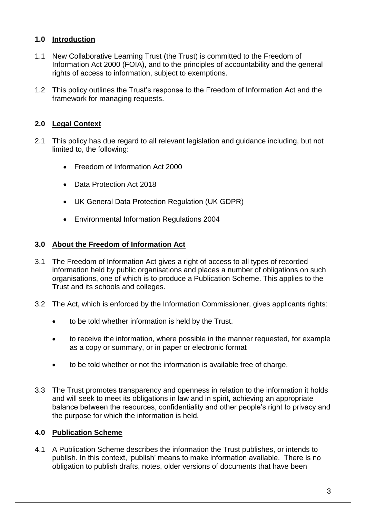#### **1.0 Introduction**

- 1.1 New Collaborative Learning Trust (the Trust) is committed to the Freedom of Information Act 2000 (FOIA), and to the principles of accountability and the general rights of access to information, subject to exemptions.
- 1.2 This policy outlines the Trust's response to the Freedom of Information Act and the framework for managing requests.

#### **2.0 Legal Context**

- 2.1 This policy has due regard to all relevant legislation and guidance including, but not limited to, the following:
	- Freedom of Information Act 2000
	- Data Protection Act 2018
	- UK General Data Protection Regulation (UK GDPR)
	- Environmental Information Regulations 2004

#### **3.0 About the Freedom of Information Act**

- 3.1 The Freedom of Information Act gives a right of access to all types of recorded information held by public organisations and places a number of obligations on such organisations, one of which is to produce a Publication Scheme. This applies to the Trust and its schools and colleges.
- 3.2 The Act, which is enforced by the Information Commissioner, gives applicants rights:
	- to be told whether information is held by the Trust.
	- to receive the information, where possible in the manner requested, for example as a copy or summary, or in paper or electronic format
	- to be told whether or not the information is available free of charge.
- 3.3 The Trust promotes transparency and openness in relation to the information it holds and will seek to meet its obligations in law and in spirit, achieving an appropriate balance between the resources, confidentiality and other people's right to privacy and the purpose for which the information is held.

#### **4.0 Publication Scheme**

4.1 A Publication Scheme describes the information the Trust publishes, or intends to publish. In this context, 'publish' means to make information available. There is no obligation to publish drafts, notes, older versions of documents that have been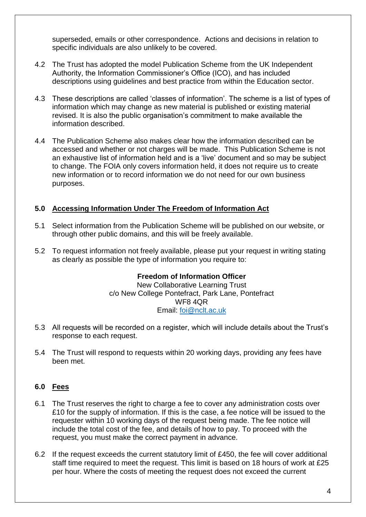superseded, emails or other correspondence. Actions and decisions in relation to specific individuals are also unlikely to be covered.

- 4.2 The Trust has adopted the model Publication Scheme from the UK Independent Authority, the Information Commissioner's Office (ICO), and has included descriptions using guidelines and best practice from within the Education sector.
- 4.3 These descriptions are called 'classes of information'. The scheme is a list of types of information which may change as new material is published or existing material revised. It is also the public organisation's commitment to make available the information described.
- 4.4 The Publication Scheme also makes clear how the information described can be accessed and whether or not charges will be made. This Publication Scheme is not an exhaustive list of information held and is a 'live' document and so may be subject to change. The FOIA only covers information held, it does not require us to create new information or to record information we do not need for our own business purposes.

#### **5.0 Accessing Information Under The Freedom of Information Act**

- 5.1 Select information from the Publication Scheme will be published on our website, or through other public domains, and this will be freely available.
- 5.2 To request information not freely available, please put your request in writing stating as clearly as possible the type of information you require to:

#### **Freedom of Information Officer**

New Collaborative Learning Trust c/o New College Pontefract, Park Lane, Pontefract WF8 4QR Email: [foi@nclt.ac.uk](mailto:foi@nclt.ac.uk)

- 5.3 All requests will be recorded on a register, which will include details about the Trust's response to each request.
- 5.4 The Trust will respond to requests within 20 working days, providing any fees have been met.

#### **6.0 Fees**

- 6.1 The Trust reserves the right to charge a fee to cover any administration costs over £10 for the supply of information. If this is the case, a fee notice will be issued to the requester within 10 working days of the request being made. The fee notice will include the total cost of the fee, and details of how to pay. To proceed with the request, you must make the correct payment in advance.
- 6.2 If the request exceeds the current statutory limit of £450, the fee will cover additional staff time required to meet the request. This limit is based on 18 hours of work at £25 per hour. Where the costs of meeting the request does not exceed the current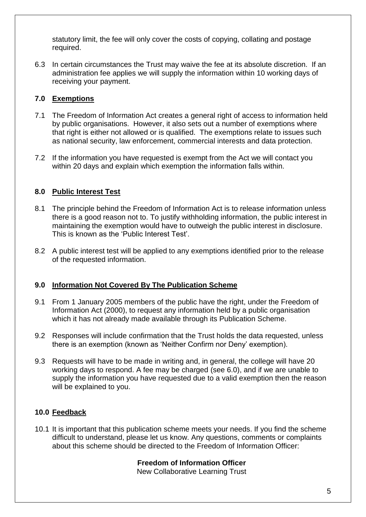statutory limit, the fee will only cover the costs of copying, collating and postage required.

6.3 In certain circumstances the Trust may waive the fee at its absolute discretion. If an administration fee applies we will supply the information within 10 working days of receiving your payment.

# **7.0 Exemptions**

- 7.1 The Freedom of Information Act creates a general right of access to information held by public organisations. However, it also sets out a number of exemptions where that right is either not allowed or is qualified. The exemptions relate to issues such as national security, law enforcement, commercial interests and data protection.
- 7.2 If the information you have requested is exempt from the Act we will contact you within 20 days and explain which exemption the information falls within.

# **8.0 Public Interest Test**

- 8.1 The principle behind the Freedom of Information Act is to release information unless there is a good reason not to. To justify withholding information, the public interest in maintaining the exemption would have to outweigh the public interest in disclosure. This is known as the 'Public Interest Test'.
- 8.2 A public interest test will be applied to any exemptions identified prior to the release of the requested information.

#### **9.0 Information Not Covered By The Publication Scheme**

- 9.1 From 1 January 2005 members of the public have the right, under the Freedom of Information Act (2000), to request any information held by a public organisation which it has not already made available through its Publication Scheme.
- 9.2 Responses will include confirmation that the Trust holds the data requested, unless there is an exemption (known as 'Neither Confirm nor Deny' exemption).
- 9.3 Requests will have to be made in writing and, in general, the college will have 20 working days to respond. A fee may be charged (see 6.0), and if we are unable to supply the information you have requested due to a valid exemption then the reason will be explained to you.

# **10.0 Feedback**

10.1 It is important that this publication scheme meets your needs. If you find the scheme difficult to understand, please let us know. Any questions, comments or complaints about this scheme should be directed to the Freedom of Information Officer:

# **Freedom of Information Officer**

New Collaborative Learning Trust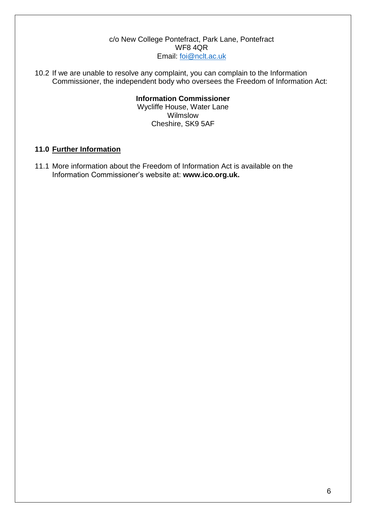#### c/o New College Pontefract, Park Lane, Pontefract WF8 4QR Email: [foi@nclt.ac.uk](mailto:foi@nclt.ac.uk)

10.2 If we are unable to resolve any complaint, you can complain to the Information Commissioner, the independent body who oversees the Freedom of Information Act:

# **Information Commissioner**

Wycliffe House, Water Lane Wilmslow Cheshire, SK9 5AF

#### **11.0 Further Information**

11.1 More information about the Freedom of Information Act is available on the Information Commissioner's website at: **www.ico.org.uk.**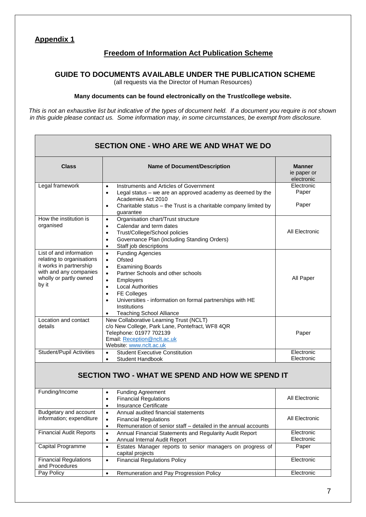#### **Appendix 1**

#### **Freedom of Information Act Publication Scheme**

#### **GUIDE TO DOCUMENTS AVAILABLE UNDER THE PUBLICATION SCHEME**

(all requests via the Director of Human Resources)

#### **Many documents can be found electronically on the Trust/college website.**

*This is not an exhaustive list but indicative of the types of document held. If a document you require is not shown in this guide please contact us. Some information may, in some circumstances, be exempt from disclosure.*

#### **SECTION ONE - WHO ARE WE AND WHAT WE DO Class Name of Document/Description Manner** ie paper or electronic Legal framework • Instruments and Articles of Government Legal status – we are an approved academy as deemed by the Academies Act 2010 • Charitable status – the Trust is a charitable company limited by guarantee Electronic Paper Paper How the institution is organised • Organisation chart/Trust structure Calendar and term dates • Trust/College/School policies • Governance Plan (including Standing Orders) Staff job descriptions All Electronic List of and information relating to organisations it works in partnership with and any companies wholly or partly owned by it • Funding Agencies • Ofsted • Examining Boards • Partner Schools and other schools • Employers • Local Authorities • FE Colleges • Universities - information on formal partnerships with HE Institutions • Teaching School Alliance All Paper Location and contact details New Collaborative Learning Trust (NCLT) c/o New College, Park Lane, Pontefract, WF8 4QR Telephone: 01977 702139 Email[: Reception@nclt.ac.uk](mailto:Reception@nclt.ac.uk) Website[: www.nclt.ac.uk](http://www.nclt.ac.uk/) Paper Student/Pupil Activities • Student Executive Constitution • Student Handbook **Electronic** Electronic

#### **SECTION TWO - WHAT WE SPEND AND HOW WE SPEND IT**

| Funding/Income                 | <b>Funding Agreement</b>                                       | All Electronic |
|--------------------------------|----------------------------------------------------------------|----------------|
|                                | <b>Financial Regulations</b>                                   |                |
|                                | Insurance Certificate                                          |                |
| Budgetary and account          | Annual audited financial statements<br>$\bullet$               |                |
| information; expenditure       | <b>Financial Regulations</b><br>٠                              | All Electronic |
|                                | Remuneration of senior staff – detailed in the annual accounts |                |
| <b>Financial Audit Reports</b> | Annual Financial Statements and Regularity Audit Report        | Electronic     |
|                                | Annual Internal Audit Report                                   | Electronic     |
| Capital Programme              | Estates Manager reports to senior managers on progress of      | Paper          |
|                                | capital projects                                               |                |
| <b>Financial Regulations</b>   | <b>Financial Regulations Policy</b>                            | Electronic     |
| and Procedures                 |                                                                |                |
| Pay Policy                     | Remuneration and Pay Progression Policy                        | Electronic     |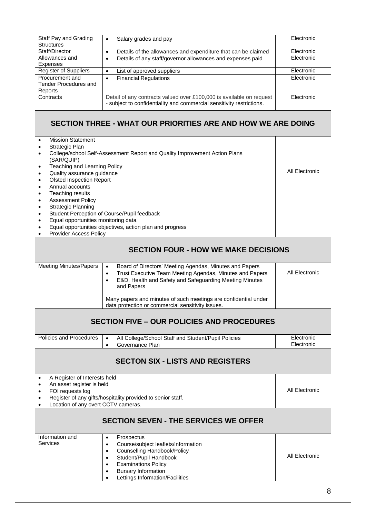|                                                                                                                                                                                                                                                                                                                        | Electronic                                                                                                                                                                                                                                                                                                                                                                                                                                                                                                               |  |  |  |  |  |
|------------------------------------------------------------------------------------------------------------------------------------------------------------------------------------------------------------------------------------------------------------------------------------------------------------------------|--------------------------------------------------------------------------------------------------------------------------------------------------------------------------------------------------------------------------------------------------------------------------------------------------------------------------------------------------------------------------------------------------------------------------------------------------------------------------------------------------------------------------|--|--|--|--|--|
| Staff Pay and Grading<br>Salary grades and pay<br>$\bullet$<br><b>Structures</b>                                                                                                                                                                                                                                       |                                                                                                                                                                                                                                                                                                                                                                                                                                                                                                                          |  |  |  |  |  |
| Staff/Director<br>Details of the allowances and expenditure that can be claimed<br>$\bullet$                                                                                                                                                                                                                           |                                                                                                                                                                                                                                                                                                                                                                                                                                                                                                                          |  |  |  |  |  |
| Allowances and<br>Details of any staff/governor allowances and expenses paid<br>$\bullet$<br>Expenses                                                                                                                                                                                                                  |                                                                                                                                                                                                                                                                                                                                                                                                                                                                                                                          |  |  |  |  |  |
| List of approved suppliers<br>$\bullet$                                                                                                                                                                                                                                                                                | Electronic                                                                                                                                                                                                                                                                                                                                                                                                                                                                                                               |  |  |  |  |  |
| <b>Financial Regulations</b><br>$\bullet$                                                                                                                                                                                                                                                                              | Electronic                                                                                                                                                                                                                                                                                                                                                                                                                                                                                                               |  |  |  |  |  |
| <b>Tender Procedures and</b><br>Reports                                                                                                                                                                                                                                                                                |                                                                                                                                                                                                                                                                                                                                                                                                                                                                                                                          |  |  |  |  |  |
|                                                                                                                                                                                                                                                                                                                        | Electronic                                                                                                                                                                                                                                                                                                                                                                                                                                                                                                               |  |  |  |  |  |
| - subject to confidentiality and commercial sensitivity restrictions.                                                                                                                                                                                                                                                  |                                                                                                                                                                                                                                                                                                                                                                                                                                                                                                                          |  |  |  |  |  |
| SECTION THREE - WHAT OUR PRIORITIES ARE AND HOW WE ARE DOING                                                                                                                                                                                                                                                           |                                                                                                                                                                                                                                                                                                                                                                                                                                                                                                                          |  |  |  |  |  |
|                                                                                                                                                                                                                                                                                                                        |                                                                                                                                                                                                                                                                                                                                                                                                                                                                                                                          |  |  |  |  |  |
|                                                                                                                                                                                                                                                                                                                        |                                                                                                                                                                                                                                                                                                                                                                                                                                                                                                                          |  |  |  |  |  |
|                                                                                                                                                                                                                                                                                                                        |                                                                                                                                                                                                                                                                                                                                                                                                                                                                                                                          |  |  |  |  |  |
|                                                                                                                                                                                                                                                                                                                        | All Electronic                                                                                                                                                                                                                                                                                                                                                                                                                                                                                                           |  |  |  |  |  |
|                                                                                                                                                                                                                                                                                                                        |                                                                                                                                                                                                                                                                                                                                                                                                                                                                                                                          |  |  |  |  |  |
|                                                                                                                                                                                                                                                                                                                        |                                                                                                                                                                                                                                                                                                                                                                                                                                                                                                                          |  |  |  |  |  |
|                                                                                                                                                                                                                                                                                                                        |                                                                                                                                                                                                                                                                                                                                                                                                                                                                                                                          |  |  |  |  |  |
|                                                                                                                                                                                                                                                                                                                        |                                                                                                                                                                                                                                                                                                                                                                                                                                                                                                                          |  |  |  |  |  |
|                                                                                                                                                                                                                                                                                                                        |                                                                                                                                                                                                                                                                                                                                                                                                                                                                                                                          |  |  |  |  |  |
|                                                                                                                                                                                                                                                                                                                        |                                                                                                                                                                                                                                                                                                                                                                                                                                                                                                                          |  |  |  |  |  |
| Equal opportunities objectives, action plan and progress                                                                                                                                                                                                                                                               |                                                                                                                                                                                                                                                                                                                                                                                                                                                                                                                          |  |  |  |  |  |
| Provider Access Policy                                                                                                                                                                                                                                                                                                 |                                                                                                                                                                                                                                                                                                                                                                                                                                                                                                                          |  |  |  |  |  |
| <b>SECTION FOUR - HOW WE MAKE DECISIONS</b>                                                                                                                                                                                                                                                                            |                                                                                                                                                                                                                                                                                                                                                                                                                                                                                                                          |  |  |  |  |  |
| Trust Executive Team Meeting Agendas, Minutes and Papers<br>$\bullet$<br>E&D, Health and Safety and Safeguarding Meeting Minutes<br>$\bullet$<br>and Papers                                                                                                                                                            | All Electronic                                                                                                                                                                                                                                                                                                                                                                                                                                                                                                           |  |  |  |  |  |
| Many papers and minutes of such meetings are confidential under<br>data protection or commercial sensitivity issues.                                                                                                                                                                                                   |                                                                                                                                                                                                                                                                                                                                                                                                                                                                                                                          |  |  |  |  |  |
| <b>SECTION FIVE - OUR POLICIES AND PROCEDURES</b>                                                                                                                                                                                                                                                                      |                                                                                                                                                                                                                                                                                                                                                                                                                                                                                                                          |  |  |  |  |  |
| All College/School Staff and Student/Pupil Policies<br>$\bullet$                                                                                                                                                                                                                                                       | Electronic<br>Electronic                                                                                                                                                                                                                                                                                                                                                                                                                                                                                                 |  |  |  |  |  |
|                                                                                                                                                                                                                                                                                                                        |                                                                                                                                                                                                                                                                                                                                                                                                                                                                                                                          |  |  |  |  |  |
| <b>SECTON SIX - LISTS AND REGISTERS</b>                                                                                                                                                                                                                                                                                |                                                                                                                                                                                                                                                                                                                                                                                                                                                                                                                          |  |  |  |  |  |
|                                                                                                                                                                                                                                                                                                                        |                                                                                                                                                                                                                                                                                                                                                                                                                                                                                                                          |  |  |  |  |  |
| An asset register is held<br>٠<br>FOI requests log<br>٠                                                                                                                                                                                                                                                                |                                                                                                                                                                                                                                                                                                                                                                                                                                                                                                                          |  |  |  |  |  |
| Register of any gifts/hospitality provided to senior staff.                                                                                                                                                                                                                                                            |                                                                                                                                                                                                                                                                                                                                                                                                                                                                                                                          |  |  |  |  |  |
|                                                                                                                                                                                                                                                                                                                        |                                                                                                                                                                                                                                                                                                                                                                                                                                                                                                                          |  |  |  |  |  |
| <b>SECTION SEVEN - THE SERVICES WE OFFER</b>                                                                                                                                                                                                                                                                           |                                                                                                                                                                                                                                                                                                                                                                                                                                                                                                                          |  |  |  |  |  |
| Prospectus<br>$\bullet$<br>Course/subject leaflets/information<br>$\bullet$<br>Counselling Handbook/Policy<br>$\bullet$<br>All Electronic<br>Student/Pupil Handbook<br>$\bullet$<br><b>Examinations Policy</b><br>$\bullet$<br><b>Bursary Information</b><br>$\bullet$<br>Lettings Information/Facilities<br>$\bullet$ |                                                                                                                                                                                                                                                                                                                                                                                                                                                                                                                          |  |  |  |  |  |
|                                                                                                                                                                                                                                                                                                                        | Detail of any contracts valued over £100,000 is available on request<br>College/school Self-Assessment Report and Quality Improvement Action Plans<br>Teaching and Learning Policy<br>Quality assurance guidance<br><b>Ofsted Inspection Report</b><br>Student Perception of Course/Pupil feedback<br>Equal opportunities monitoring data<br>Board of Directors' Meeting Agendas, Minutes and Papers<br>$\bullet$<br>Governance Plan<br>$\bullet$<br>A Register of Interests held<br>Location of any overt CCTV cameras. |  |  |  |  |  |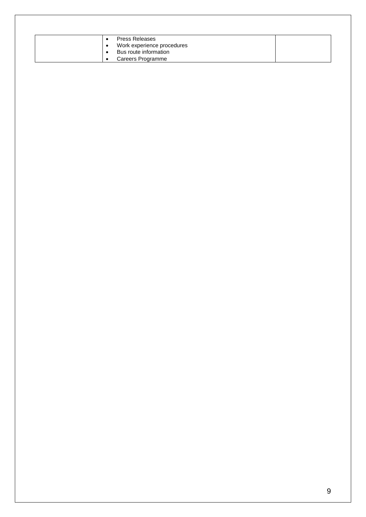| <b>Press Releases</b>      |  |
|----------------------------|--|
| Work experience procedures |  |
| Bus route information      |  |
| Careers Programme          |  |